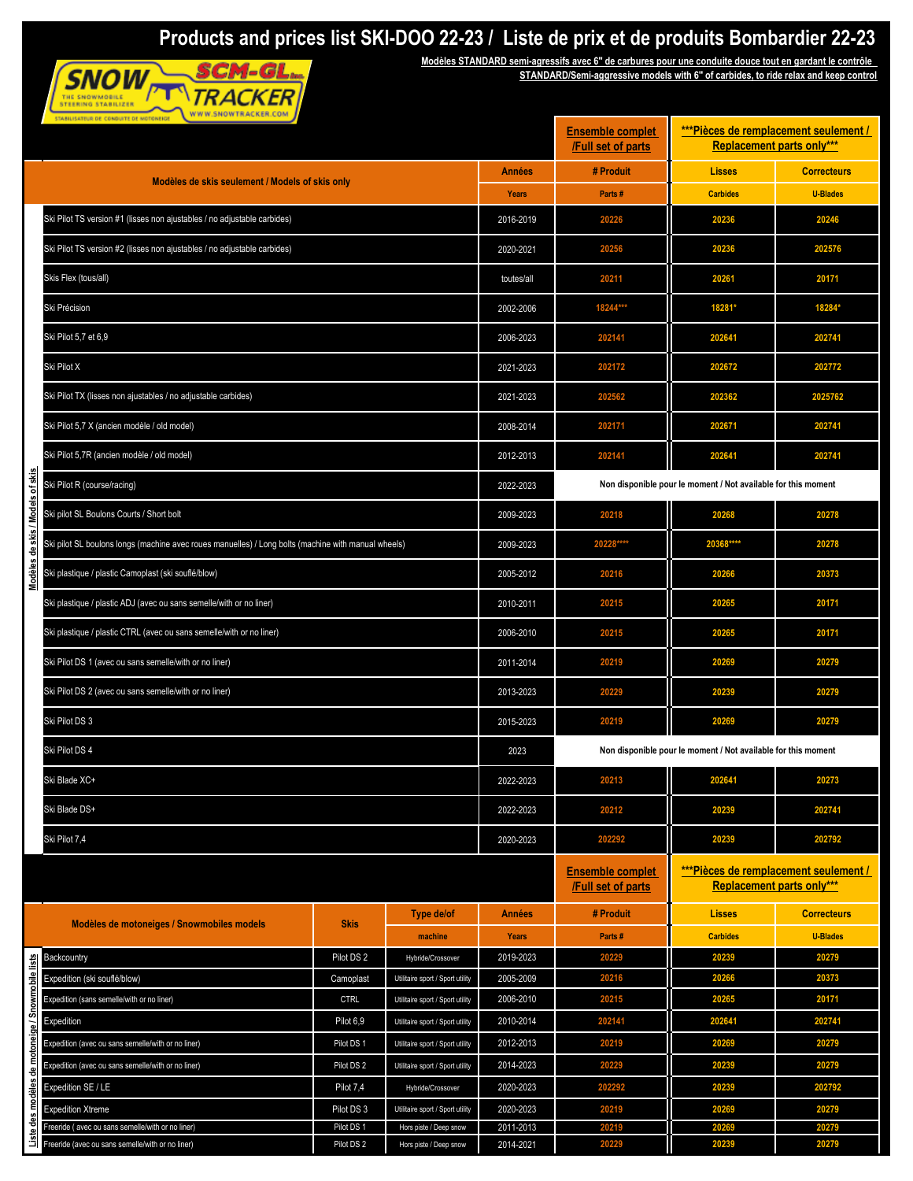## **Products and prices list SKI-DOO 22-23 / Liste de prix et de produits Bombardier 22-23**



**Modèles STANDARD semi-agressifs avec 6'' de carbures pour une conduite douce tout en gardant le contrôle STANDARD/Semi-aggressive models with 6'' of carbides, to ride relax and keep control**

| <b>Replacement parts only***</b><br>/Full set of parts<br># Produit<br><b>Lisses</b><br><b>Années</b><br>Modèles de skis seulement / Models of skis only<br><b>Carbides</b><br>Parts#<br><b>Years</b><br>Ski Pilot TS version #1 (lisses non ajustables / no adjustable carbides)<br>2016-2019<br>20226<br>20236<br>Ski Pilot TS version #2 (lisses non ajustables / no adjustable carbides)<br>2020-2021<br>20256<br>20236<br>Skis Flex (tous/all)<br>20211<br>20261<br>toutes/all<br>Ski Précision<br>18244***<br>18281*<br>2002-2006<br>Ski Pilot 5,7 et 6,9<br>2006-2023<br>202141<br>202641<br>Ski Pilot X<br>2021-2023<br>202172<br>202672 | <b>Correcteurs</b><br><b>U-Blades</b><br>20246<br>202576<br>20171<br>18284*<br>202741<br>202772<br>2025762<br>202741<br>202741<br>20278 |  |  |  |
|--------------------------------------------------------------------------------------------------------------------------------------------------------------------------------------------------------------------------------------------------------------------------------------------------------------------------------------------------------------------------------------------------------------------------------------------------------------------------------------------------------------------------------------------------------------------------------------------------------------------------------------------------|-----------------------------------------------------------------------------------------------------------------------------------------|--|--|--|
|                                                                                                                                                                                                                                                                                                                                                                                                                                                                                                                                                                                                                                                  |                                                                                                                                         |  |  |  |
|                                                                                                                                                                                                                                                                                                                                                                                                                                                                                                                                                                                                                                                  |                                                                                                                                         |  |  |  |
|                                                                                                                                                                                                                                                                                                                                                                                                                                                                                                                                                                                                                                                  |                                                                                                                                         |  |  |  |
|                                                                                                                                                                                                                                                                                                                                                                                                                                                                                                                                                                                                                                                  |                                                                                                                                         |  |  |  |
|                                                                                                                                                                                                                                                                                                                                                                                                                                                                                                                                                                                                                                                  |                                                                                                                                         |  |  |  |
|                                                                                                                                                                                                                                                                                                                                                                                                                                                                                                                                                                                                                                                  |                                                                                                                                         |  |  |  |
|                                                                                                                                                                                                                                                                                                                                                                                                                                                                                                                                                                                                                                                  |                                                                                                                                         |  |  |  |
|                                                                                                                                                                                                                                                                                                                                                                                                                                                                                                                                                                                                                                                  |                                                                                                                                         |  |  |  |
| Ski Pilot TX (lisses non ajustables / no adjustable carbides)<br>2021-2023<br>202362<br>202562                                                                                                                                                                                                                                                                                                                                                                                                                                                                                                                                                   |                                                                                                                                         |  |  |  |
| Ski Pilot 5,7 X (ancien modèle / old model)<br>202171<br>202671<br>2008-2014                                                                                                                                                                                                                                                                                                                                                                                                                                                                                                                                                                     |                                                                                                                                         |  |  |  |
| Ski Pilot 5,7R (ancien modèle / old model)<br>202141<br>202641<br>2012-2013                                                                                                                                                                                                                                                                                                                                                                                                                                                                                                                                                                      |                                                                                                                                         |  |  |  |
| Ski Pilot R (course/racing)<br>Non disponible pour le moment / Not available for this moment<br>2022-2023                                                                                                                                                                                                                                                                                                                                                                                                                                                                                                                                        |                                                                                                                                         |  |  |  |
| skis/Models of skis<br>Ski pilot SL Boulons Courts / Short bolt<br>2009-2023<br>20218<br>20268                                                                                                                                                                                                                                                                                                                                                                                                                                                                                                                                                   |                                                                                                                                         |  |  |  |
| Ski pilot SL boulons longs (machine avec roues manuelles) / Long bolts (machine with manual wheels)<br>20228****<br>2009-2023<br>20368****<br>웅                                                                                                                                                                                                                                                                                                                                                                                                                                                                                                  | 20278                                                                                                                                   |  |  |  |
| Modèles<br>Ski plastique / plastic Camoplast (ski souflé/blow)<br>2005-2012<br>20216<br>20266                                                                                                                                                                                                                                                                                                                                                                                                                                                                                                                                                    | 20373                                                                                                                                   |  |  |  |
| Ski plastique / plastic ADJ (avec ou sans semelle/with or no liner)<br>20215<br>20265<br>2010-2011                                                                                                                                                                                                                                                                                                                                                                                                                                                                                                                                               | 20171                                                                                                                                   |  |  |  |
| Ski plastique / plastic CTRL (avec ou sans semelle/with or no liner)<br>2006-2010<br>20215<br>20265                                                                                                                                                                                                                                                                                                                                                                                                                                                                                                                                              | 20171                                                                                                                                   |  |  |  |
| Ski Pilot DS 1 (avec ou sans semelle/with or no liner)<br>2011-2014<br>20219<br>20269                                                                                                                                                                                                                                                                                                                                                                                                                                                                                                                                                            | 20279                                                                                                                                   |  |  |  |
| Ski Pilot DS 2 (avec ou sans semelle/with or no liner)<br>2013-2023<br>20229<br>20239                                                                                                                                                                                                                                                                                                                                                                                                                                                                                                                                                            | 20279                                                                                                                                   |  |  |  |
| Ski Pilot DS 3<br>2015-2023<br>20219<br>20269                                                                                                                                                                                                                                                                                                                                                                                                                                                                                                                                                                                                    | 20279                                                                                                                                   |  |  |  |
| Ski Pilot DS 4<br>2023                                                                                                                                                                                                                                                                                                                                                                                                                                                                                                                                                                                                                           | Non disponible pour le moment / Not available for this moment                                                                           |  |  |  |
| 202641<br>Ski Blade XC+<br>20213<br>2022-2023                                                                                                                                                                                                                                                                                                                                                                                                                                                                                                                                                                                                    | 20273                                                                                                                                   |  |  |  |
| Ski Blade DS+<br>2022-2023<br>20212<br>20239                                                                                                                                                                                                                                                                                                                                                                                                                                                                                                                                                                                                     | 202741                                                                                                                                  |  |  |  |
| Ski Pilot 7,4<br>2020-2023<br>202292<br>20239                                                                                                                                                                                                                                                                                                                                                                                                                                                                                                                                                                                                    | 202792                                                                                                                                  |  |  |  |
| <b>Ensemble complet</b><br>/Full set of parts                                                                                                                                                                                                                                                                                                                                                                                                                                                                                                                                                                                                    | ***Pièces de remplacement seulement /<br><b>Replacement parts only***</b>                                                               |  |  |  |
| Type de/of<br># Produit<br><b>Lisses</b><br><b>Années</b>                                                                                                                                                                                                                                                                                                                                                                                                                                                                                                                                                                                        | <b>Correcteurs</b>                                                                                                                      |  |  |  |
| Modèles de motoneiges / Snowmobiles models<br><b>Skis</b><br><b>Carbides</b><br><b>Years</b><br>Parts#<br>machine                                                                                                                                                                                                                                                                                                                                                                                                                                                                                                                                | <b>U-Blades</b>                                                                                                                         |  |  |  |
| Pilot DS 2<br>2019-2023<br>20229<br>20239<br>Backcountry<br>Hybride/Crossover                                                                                                                                                                                                                                                                                                                                                                                                                                                                                                                                                                    | 20279                                                                                                                                   |  |  |  |
| 2005-2009<br>20216<br>Expedition (ski souflé/blow)<br>Utilitaire sport / Sport utility<br>20266<br>Camoplast                                                                                                                                                                                                                                                                                                                                                                                                                                                                                                                                     | 20373                                                                                                                                   |  |  |  |
| 2006-2010<br>20215<br>20265<br>Expedition (sans semelle/with or no liner)<br><b>CTRL</b><br>Utilitaire sport / Sport utility                                                                                                                                                                                                                                                                                                                                                                                                                                                                                                                     | 20171                                                                                                                                   |  |  |  |
| 2010-2014<br>202141<br>202641<br>Pilot 6,9<br>Expedition<br>Utilitaire sport / Sport utility                                                                                                                                                                                                                                                                                                                                                                                                                                                                                                                                                     | 202741                                                                                                                                  |  |  |  |
| Pilot DS 1<br>2012-2013<br>20219<br>20269<br>Expedition (avec ou sans semelle/with or no liner)<br>Utilitaire sport / Sport utility                                                                                                                                                                                                                                                                                                                                                                                                                                                                                                              | 20279                                                                                                                                   |  |  |  |
| 20229<br>20239<br>2014-2023<br>Expedition (avec ou sans semelle/with or no liner)<br>Pilot DS 2<br>Utilitaire sport / Sport utility                                                                                                                                                                                                                                                                                                                                                                                                                                                                                                              | 20279                                                                                                                                   |  |  |  |
| des modèles de motoneige / Snowmobile lists<br>2020-2023<br>20239<br>Expedition SE / LE<br>Pilot 7,4<br>202292<br>Hybride/Crossover                                                                                                                                                                                                                                                                                                                                                                                                                                                                                                              | 202792                                                                                                                                  |  |  |  |
| 20219<br>20269<br>2020-2023<br><b>Expedition Xtreme</b><br>Pilot DS 3<br>Utilitaire sport / Sport utility                                                                                                                                                                                                                                                                                                                                                                                                                                                                                                                                        | 20279                                                                                                                                   |  |  |  |
| 2011-2013<br>20219<br>20269<br>Freeride (avec ou sans semelle/with or no liner)<br>Pilot DS 1<br>Hors piste / Deep snow<br>Liste<br>Freeride (avec ou sans semelle/with or no liner)<br>2014-2021<br>Pilot DS 2<br>Hors piste / Deep snow<br>20229<br>20239                                                                                                                                                                                                                                                                                                                                                                                      | 20279<br>20279                                                                                                                          |  |  |  |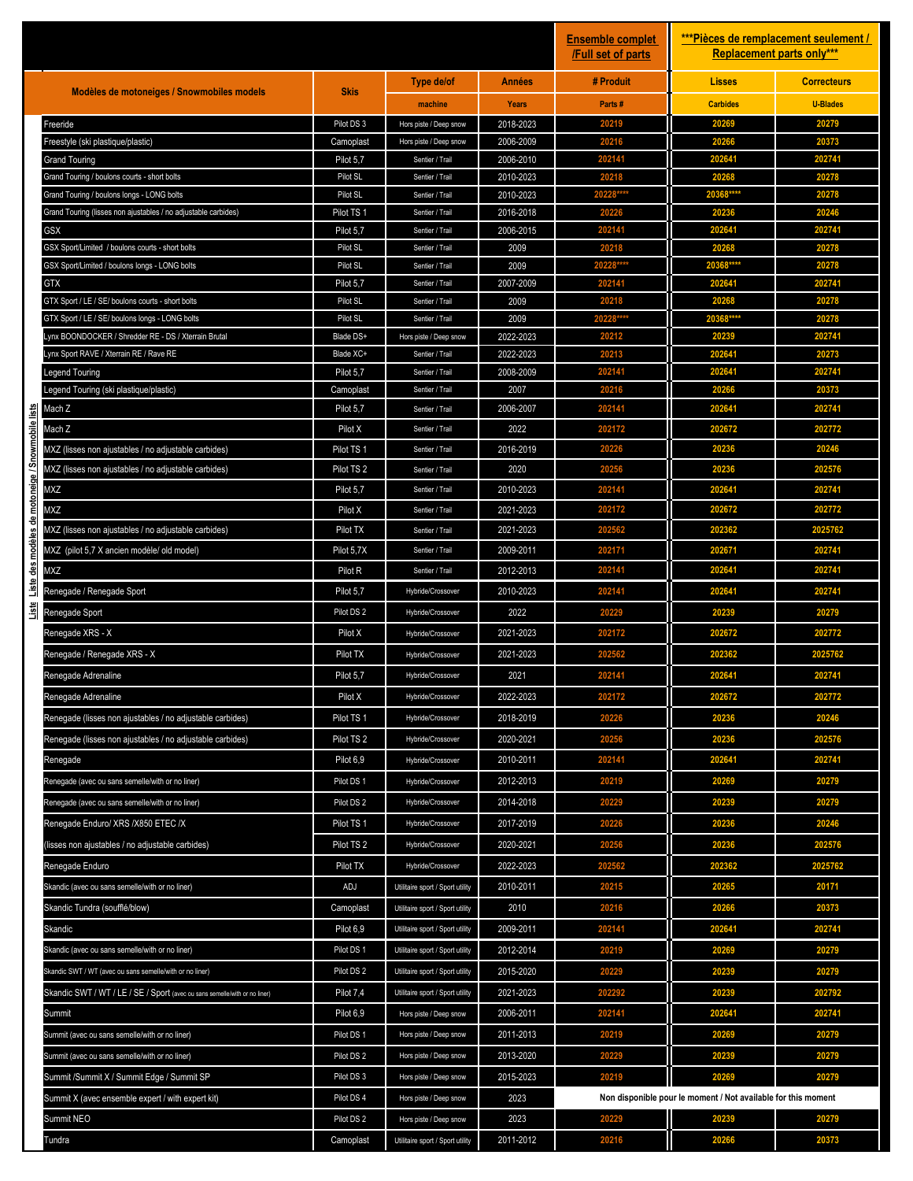|                                                   |                                                                                                              |                         |                                    |                        | <b>Ensemble complet</b><br><b>Full set of parts</b> |                                                               | ***Pièces de remplacement seulement /<br><b>Replacement parts only***</b> |  |
|---------------------------------------------------|--------------------------------------------------------------------------------------------------------------|-------------------------|------------------------------------|------------------------|-----------------------------------------------------|---------------------------------------------------------------|---------------------------------------------------------------------------|--|
|                                                   |                                                                                                              | <b>Skis</b>             | Type de/of                         | <b>Années</b>          | # Produit                                           | <b>Lisses</b>                                                 | <b>Correcteurs</b>                                                        |  |
|                                                   | Modèles de motoneiges / Snowmobiles models                                                                   |                         | machine                            | Years                  | Parts#                                              | <b>Carbides</b>                                               | <b>U-Blades</b>                                                           |  |
|                                                   | Freeride                                                                                                     | Pilot DS 3              | Hors piste / Deep snow             | 2018-2023              | 20219                                               | 20269                                                         | 20279                                                                     |  |
|                                                   | Freestyle (ski plastique/plastic)                                                                            | Camoplast               | Hors piste / Deep snow             | 2006-2009              | 20216                                               | 20266                                                         | 20373                                                                     |  |
|                                                   | <b>Grand Touring</b>                                                                                         | Pilot 5,7               | Sentier / Trail                    | 2006-2010              | 202141                                              | 202641                                                        | 202741                                                                    |  |
|                                                   | Grand Touring / boulons courts - short bolts                                                                 | Pilot SL                | Sentier / Trail                    | 2010-2023              | 20218                                               | 20268                                                         | 20278                                                                     |  |
|                                                   | Grand Touring / boulons longs - LONG bolts<br>Grand Touring (lisses non ajustables / no adjustable carbides) | Pilot SL                | Sentier / Trail                    | 2010-2023              | 20228***<br>20226                                   | 20368***<br>20236                                             | 20278<br>20246                                                            |  |
|                                                   | <b>GSX</b>                                                                                                   | Pilot TS 1<br>Pilot 5,7 | Sentier / Trail<br>Sentier / Trail | 2016-2018<br>2006-2015 | 202141                                              | 202641                                                        | 202741                                                                    |  |
|                                                   | GSX Sport/Limited / boulons courts - short bolts                                                             | Pilot SL                | Sentier / Trail                    | 2009                   | 20218                                               | 20268                                                         | 20278                                                                     |  |
|                                                   | GSX Sport/Limited / boulons longs - LONG bolts                                                               | Pilot SL                | Sentier / Trail                    | 2009                   | 20228***                                            | 20368****                                                     | 20278                                                                     |  |
|                                                   | <b>GTX</b>                                                                                                   | Pilot 5,7               | Sentier / Trail                    | 2007-2009              | 202141                                              | 202641                                                        | 202741                                                                    |  |
|                                                   | GTX Sport / LE / SE/ boulons courts - short bolts                                                            | Pilot SL                | Sentier / Trail                    | 2009                   | 20218                                               | 20268                                                         | 20278                                                                     |  |
|                                                   | GTX Sport / LE / SE/ boulons longs - LONG bolts                                                              | Pilot SL                | Sentier / Trail                    | 2009                   | 20228**                                             | 20368****                                                     | 20278                                                                     |  |
|                                                   | Lynx BOONDOCKER / Shredder RE - DS / Xterrain Brutal                                                         | Blade DS+               | Hors piste / Deep snow             | 2022-2023              | 20212                                               | 2023                                                          | 202741                                                                    |  |
|                                                   | Lynx Sport RAVE / Xterrain RE / Rave RE                                                                      | Blade XC+               | Sentier / Trail                    | 2022-2023              | 20213                                               | 202641                                                        | 20273                                                                     |  |
|                                                   | Legend Touring                                                                                               | Pilot 5,7               | Sentier / Trail                    | 2008-2009              | 202141                                              | 202641                                                        | 202741                                                                    |  |
|                                                   | Legend Touring (ski plastique/plastic)                                                                       | Camoplast               | Sentier / Trail                    | 2007                   | 20216                                               | 20266                                                         | 20373                                                                     |  |
| Liste des modèles de motoneige / Snowmobile lists | Mach Z                                                                                                       | Pilot 5,7               | Sentier / Trail                    | 2006-2007              | 202141                                              | 202641                                                        | 202741                                                                    |  |
|                                                   | Mach Z                                                                                                       | Pilot X                 | Sentier / Trail                    | 2022                   | 202172                                              | 202672                                                        | 202772                                                                    |  |
|                                                   | MXZ (lisses non ajustables / no adjustable carbides)                                                         | Pilot TS 1              | Sentier / Trail                    | 2016-2019              | 20226                                               | 20236                                                         | 20246                                                                     |  |
|                                                   | MXZ (lisses non ajustables / no adjustable carbides)                                                         | Pilot TS <sub>2</sub>   | Sentier / Trail                    | 2020                   | 20256                                               | 20236                                                         | 202576                                                                    |  |
|                                                   | MXZ                                                                                                          | Pilot 5,7               | Sentier / Trail                    | 2010-2023              | 202141                                              | 202641                                                        | 202741                                                                    |  |
|                                                   | MXZ                                                                                                          | Pilot X                 | Sentier / Trail                    | 2021-2023              | 202172                                              | 202672                                                        | 202772                                                                    |  |
|                                                   | MXZ (lisses non ajustables / no adjustable carbides)                                                         | Pilot TX                | Sentier / Trail                    | 2021-2023              | 202562                                              | 202362                                                        | 2025762                                                                   |  |
|                                                   | MXZ (pilot 5,7 X ancien modèle/ old model)                                                                   | Pilot 5,7X              | Sentier / Trail                    | 2009-2011              | 202171                                              | 202671                                                        | 202741                                                                    |  |
|                                                   | MXZ                                                                                                          | Pilot R                 | Sentier / Trail                    | 2012-2013              | 202141                                              | 202641                                                        | 202741                                                                    |  |
|                                                   | Renegade / Renegade Sport                                                                                    | Pilot 5,7               | Hybride/Crossover                  | 2010-2023              | 202141                                              | 202641                                                        | 202741                                                                    |  |
| Liste                                             | Renegade Sport                                                                                               | Pilot DS 2              | Hybride/Crossover                  | 2022                   | 20229                                               | 20239                                                         | 20279                                                                     |  |
|                                                   | Renegade XRS - X                                                                                             | Pilot X                 | Hybride/Crossover                  | 2021-2023              | 202172                                              | 202672                                                        | 202772                                                                    |  |
|                                                   | Renegade / Renegade XRS - X                                                                                  | Pilot TX                | Hybride/Crossover                  | 2021-2023              | 202562                                              | 202362                                                        | 2025762                                                                   |  |
|                                                   | Renegade Adrenaline                                                                                          | Pilot 5,7               | Hybride/Crossover                  | 2021                   | 202141                                              | 202641                                                        | 202741                                                                    |  |
|                                                   | Renegade Adrenaline                                                                                          | Pilot X                 | Hybride/Crossover                  | 2022-2023              | 202172                                              | 202672                                                        | 202772                                                                    |  |
|                                                   | Renegade (lisses non ajustables / no adjustable carbides)                                                    | Pilot TS 1              | Hybride/Crossover                  | 2018-2019              | 20226                                               | 20236                                                         | 20246                                                                     |  |
|                                                   | Renegade (lisses non ajustables / no adjustable carbides)                                                    | Pilot TS <sub>2</sub>   | Hybride/Crossover                  | 2020-2021              | 20256                                               | 20236                                                         | 202576                                                                    |  |
|                                                   | Renegade                                                                                                     | Pilot 6,9               | Hybride/Crossover                  | 2010-2011              | 202141                                              | 202641                                                        | 202741                                                                    |  |
|                                                   | Renegade (avec ou sans semelle/with or no liner)                                                             | Pilot DS 1              | Hybride/Crossover                  | 2012-2013              | 20219                                               | 20269                                                         | 20279                                                                     |  |
|                                                   | Renegade (avec ou sans semelle/with or no liner)                                                             | Pilot DS 2              | Hybride/Crossover                  | 2014-2018              | 20229                                               | 20239                                                         | 20279                                                                     |  |
|                                                   | Renegade Enduro/ XRS /X850 ETEC /X                                                                           | Pilot TS 1              | Hybride/Crossover                  | 2017-2019              | 20226                                               | 20236                                                         | 20246                                                                     |  |
|                                                   |                                                                                                              | Pilot TS <sub>2</sub>   | Hybride/Crossover                  | 2020-2021              | 20256                                               | 20236                                                         | 202576                                                                    |  |
|                                                   | lisses non ajustables / no adjustable carbides)                                                              |                         |                                    |                        | 202562                                              | 202362                                                        |                                                                           |  |
|                                                   | Renegade Enduro                                                                                              | Pilot TX                | Hybride/Crossover                  | 2022-2023              |                                                     |                                                               | 2025762                                                                   |  |
|                                                   | Skandic (avec ou sans semelle/with or no liner)                                                              | ADJ                     | Utilitaire sport / Sport utility   | 2010-2011              | 20215                                               | 20265                                                         | 20171                                                                     |  |
|                                                   | Skandic Tundra (soufflé/blow)                                                                                | Camoplast               | Utilitaire sport / Sport utility   | 2010                   | 20216                                               | 20266                                                         | 20373                                                                     |  |
|                                                   | <b>Skandic</b>                                                                                               | Pilot 6,9               | Utilitaire sport / Sport utility   | 2009-2011              | 202141                                              | 202641                                                        | 202741                                                                    |  |
|                                                   | Skandic (avec ou sans semelle/with or no liner)                                                              | Pilot DS 1              | Utilitaire sport / Sport utility   | 2012-2014              | 20219                                               | 20269                                                         | 20279                                                                     |  |
|                                                   | Skandic SWT / WT (avec ou sans semelle/with or no liner)                                                     | Pilot DS 2              | Utilitaire sport / Sport utility   | 2015-2020              | 20229                                               | 20239                                                         | 20279                                                                     |  |
|                                                   | Skandic SWT / WT / LE / SE / Sport (avec ou sans semelle/with or no liner)                                   | Pilot 7,4               | Utilitaire sport / Sport utility   | 2021-2023              | 202292                                              | 20239                                                         | 202792                                                                    |  |
|                                                   | Summit                                                                                                       | Pilot 6,9               | Hors piste / Deep snow             | 2006-2011              | 202141                                              | 202641                                                        | 202741                                                                    |  |
|                                                   | Summit (avec ou sans semelle/with or no liner)                                                               | Pilot DS 1              | Hors piste / Deep snow             | 2011-2013              | 20219                                               | 20269                                                         | 20279                                                                     |  |
|                                                   | Summit (avec ou sans semelle/with or no liner)                                                               | Pilot DS 2              | Hors piste / Deep snow             | 2013-2020              | 20229                                               | 20239                                                         | 20279                                                                     |  |
|                                                   | Summit /Summit X / Summit Edge / Summit SP                                                                   | Pilot DS 3              | Hors piste / Deep snow             | 2015-2023              | 20219                                               | 20269                                                         | 20279                                                                     |  |
|                                                   | Summit X (avec ensemble expert / with expert kit)                                                            | Pilot DS 4              | Hors piste / Deep snow             | 2023                   |                                                     | Non disponible pour le moment / Not available for this moment |                                                                           |  |
|                                                   | Summit NEO                                                                                                   | Pilot DS 2              | Hors piste / Deep snow             | 2023                   | 20229                                               | 20239                                                         | 20279                                                                     |  |
|                                                   | Tundra                                                                                                       | Camoplast               | Utilitaire sport / Sport utility   | 2011-2012              | 20216                                               | 20266                                                         | 20373                                                                     |  |